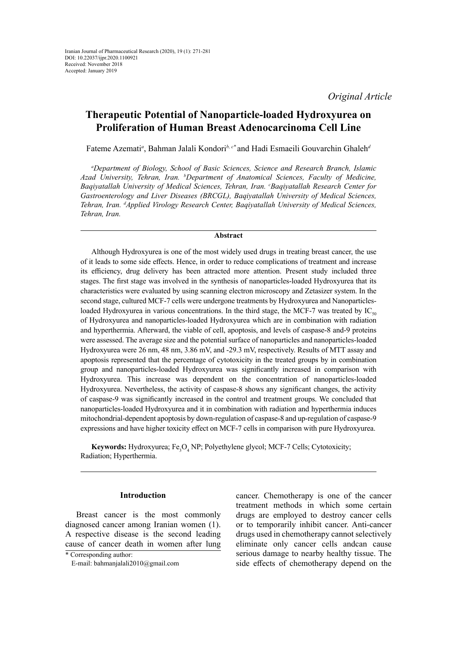*Original Article*

# **Therapeutic Potential of Nanoparticle-loaded Hydroxyurea on Proliferation of Human Breast Adenocarcinoma Cell Line**

Fateme Azemati*<sup>a</sup>* , Bahman Jalali Kondori*b, c\** and Hadi Esmaeili Gouvarchin Ghaleh*<sup>d</sup>*

*a Department of Biology, School of Basic Sciences, Science and Research Branch, Islamic Azad University, Tehran, Iran. b Department of Anatomical Sciences, Faculty of Medicine, Baqiyatallah University of Medical Sciences, Tehran, Iran. c Baqiyatallah Research Center for Gastroenterology and Liver Diseases (BRCGL), Baqiyatallah University of Medical Sciences, Tehran, Iran. d Applied Virology Research Center, Baqiyatallah University of Medical Sciences, Tehran, Iran.*

## **Abstract**

Although Hydroxyurea is one of the most widely used drugs in treating breast cancer, the use of it leads to some side effects. Hence, in order to reduce complications of treatment and increase its efficiency, drug delivery has been attracted more attention. Present study included three stages. The first stage was involved in the synthesis of nanoparticles-loaded Hydroxyurea that its characteristics were evaluated by using scanning electron microscopy and Zetasizer system. In the second stage, cultured MCF-7 cells were undergone treatments by Hydroxyurea and Nanoparticlesloaded Hydroxyurea in various concentrations. In the third stage, the MCF-7 was treated by  $IC_{50}$ of Hydroxyurea and nanoparticles-loaded Hydroxyurea which are in combination with radiation and hyperthermia. Afterward, the viable of cell, apoptosis, and levels of caspase-8 and-9 proteins were assessed. The average size and the potential surface of nanoparticles and nanoparticles-loaded Hydroxyurea were 26 nm, 48 nm, 3.86 mV, and -29.3 mV, respectively. Results of MTT assay and apoptosis represented that the percentage of cytotoxicity in the treated groups by in combination group and nanoparticles-loaded Hydroxyurea was significantly increased in comparison with Hydroxyurea. This increase was dependent on the concentration of nanoparticles-loaded Hydroxyurea. Nevertheless, the activity of caspase-8 shows any significant changes, the activity of caspase-9 was significantly increased in the control and treatment groups. We concluded that nanoparticles-loaded Hydroxyurea and it in combination with radiation and hyperthermia induces mitochondrial-dependent apoptosis by down-regulation of caspase-8 and up-regulation of caspase-9 expressions and have higher toxicity effect on MCF-7 cells in comparison with pure Hydroxyurea.

**Keywords:** Hydroxyurea; Fe<sub>3</sub>O<sub>4</sub> NP; Polyethylene glycol; [MCF-7](https://www.ncbi.nlm.nih.gov/mesh/68061986) Cells; [Cytotoxicity;](https://www.ncbi.nlm.nih.gov/mesh/68003602) Radiation; Hyperthermia.

# **Introduction**

Breast cancer is the most commonly diagnosed cancer among Iranian women (1). A respective disease is the second leading cause of cancer death in women after lung cancer. Chemotherapy is one of the cancer treatment methods in which some certain drugs are employed to destroy cancer cells or to temporarily inhibit cancer. Anti-cancer drugs used in chemotherapy cannot selectively eliminate only cancer cells andcan cause serious damage to nearby healthy tissue. The side effects of chemotherapy depend on the

<sup>\*</sup> Corresponding author:

E-mail: [bahmanjalali2010@gmail.com](mailto:bahmanjalali2010@gmail.com)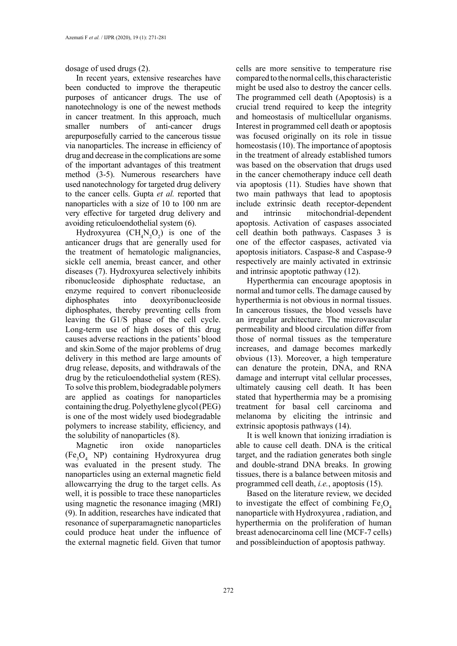dosage of used drugs (2).

In recent years, extensive researches have been conducted to improve the therapeutic purposes of anticancer drugs. The use of nanotechnology is one of the newest methods in cancer treatment. In this approach, much smaller numbers of anti-cancer drugs arepurposefully carried to the cancerous tissue via nanoparticles. The increase in efficiency of drug and decrease in the complications are some of the important advantages of this treatment method (3-5). Numerous researchers have used nanotechnology for targeted drug delivery to the cancer cells. Gupta *et al.* reported that nanoparticles with a size of 10 to 100 nm are very effective for targeted drug delivery and avoiding reticuloendothelial system (6).

Hydroxyurea  $(CH_4N_2O_2)$  is one of the anticancer drugs that are generally used for the treatment of hematologic malignancies, sickle cell anemia, breast cancer, and other diseases (7). Hydroxyurea selectively inhibits ribonucleoside diphosphate reductase, an enzyme required to convert ribonucleoside diphosphates into deoxyribonucleoside diphosphates, thereby preventing cells from leaving the G1/S phase of the cell cycle. Long-term use of high doses of this drug causes adverse reactions in the patients' blood and skin.Some of the major problems of drug delivery in this method are large amounts of drug release, deposits, and withdrawals of the drug by the reticuloendothelial system (RES). To solve this problem, biodegradable polymers are applied as coatings for nanoparticles containing the drug. Polyethylene glycol (PEG) is one of the most widely used biodegradable polymers to increase stability, efficiency, and the solubility of nanoparticles (8).

Magnetic iron oxide nanoparticles (Fe<sub>3</sub>O<sub>4</sub> NP) containing Hydroxyurea drug was evaluated in the present study. The nanoparticles using an external magnetic field allowcarrying the drug to the target cells. As well, it is possible to trace these nanoparticles using magnetic the resonance imaging (MRI) (9). In addition, researches have indicated that resonance of superparamagnetic nanoparticles could produce heat under the influence of the external magnetic field. Given that tumor

cells are more sensitive to temperature rise compared to the normal cells, this characteristic might be used also to destroy the cancer cells. The programmed cell death (Apoptosis) is a crucial trend required to keep the integrity and homeostasis of multicellular organisms. Interest in programmed cell death or apoptosis was focused originally on its role in tissue homeostasis (10). The importance of apoptosis in the treatment of already established tumors was based on the observation that drugs used in the cancer chemotherapy induce cell death via apoptosis (11). Studies have shown that two main pathways that lead to apoptosis include extrinsic death receptor-dependent and intrinsic mitochondrial-dependent apoptosis. Activation of caspases associated cell deathin both pathways. Caspases 3 is one of the effector caspases, activated via apoptosis initiators. Caspase-8 and Caspase-9 respectively are mainly activated in extrinsic and intrinsic apoptotic pathway (12).

Hyperthermia can encourage apoptosis in normal and tumor cells. The damage caused by hyperthermia is not obvious in normal tissues. In cancerous tissues, the blood vessels have an irregular architecture. The microvascular permeability and blood circulation differ from those of normal tissues as the temperature increases, and damage becomes markedly obvious (13). Moreover, a high temperature can denature the protein, DNA, and RNA damage and interrupt vital cellular processes, ultimately causing cell death. It has been stated that hyperthermia may be a promising treatment for basal cell carcinoma and melanoma by eliciting the intrinsic and extrinsic apoptosis pathways (14).

It is well known that ionizing irradiation is able to cause cell death. DNA is the critical target, and the radiation generates both single and double-strand DNA breaks. In growing tissues, there is a balance between mitosis and programmed cell death, *i.e.*, apoptosis (15).

Based on the literature review, we decided to investigate the effect of combining  $Fe<sub>3</sub>O<sub>4</sub>$ nanoparticle with Hydroxyurea , radiation, and hyperthermia on the proliferation of human breast adenocarcinoma cell line (MCF-7 cells) and possibleinduction of apoptosis pathway.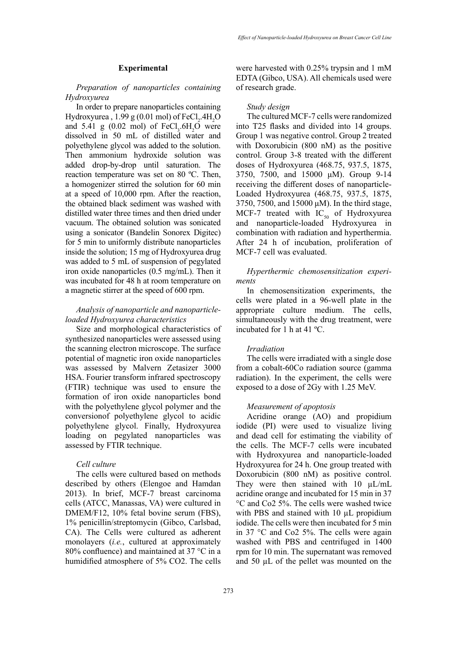## **Experimental**

# *Preparation of nanoparticles containing Hydroxyurea*

In order to prepare nanoparticles containing Hydroxyurea ,  $1.99 \text{ g}$  (0.01 mol) of FeCl<sub>2</sub>.4H<sub>2</sub>O and 5.41 g (0.02 mol) of  $FeCl<sub>3</sub>$ .6H<sub>2</sub>O were dissolved in 50 mL of distilled water and polyethylene glycol was added to the solution. Then ammonium hydroxide solution was added drop-by-drop until saturation. The reaction temperature was set on 80 ºC. Then, a homogenizer stirred the solution for 60 min at a speed of 10,000 rpm. After the reaction, the obtained black sediment was washed with distilled water three times and then dried under vacuum. The obtained solution was sonicated using a sonicator (Bandelin Sonorex Digitec) for 5 min to uniformly distribute nanoparticles inside the solution; 15 mg of Hydroxyurea drug was added to 5 mL of suspension of pegylated iron oxide nanoparticles (0.5 mg/mL). Then it was incubated for 48 h at room temperature on a magnetic stirrer at the speed of 600 rpm.

# *Analysis of nanoparticle and nanoparticleloaded Hydroxyurea characteristics*

Size and morphological characteristics of synthesized nanoparticles were assessed using the scanning electron microscope. The surface potential of magnetic iron oxide nanoparticles was assessed by Malvern Zetasizer 3000 HSA. Fourier transform infrared spectroscopy (FTIR) technique was used to ensure the formation of iron oxide nanoparticles bond with the polyethylene glycol polymer and the conversionof polyethylene glycol to acidic polyethylene glycol. Finally, Hydroxyurea loading on pegylated nanoparticles was assessed by FTIR technique.

## *Cell culture*

The cells were cultured based on methods described by others (Elengoe and Hamdan 2013). In brief, MCF-7 breast carcinoma cells (ATCC, Manassas, VA) were cultured in DMEM/F12, 10% fetal bovine serum (FBS), 1% penicillin/streptomycin (Gibco, Carlsbad, CA). The Cells were cultured as adherent monolayers (*i.e.*, cultured at approximately 80% confluence) and maintained at 37 °C in a humidified atmosphere of 5% CO2. The cells

were harvested with 0.25% trypsin and 1 mM EDTA (Gibco, USA). All chemicals used were of research grade.

#### *Study design*

The cultured MCF-7 cells were randomized into T25 flasks and divided into 14 groups. Group 1 was negative control. Group 2 treated with Doxorubicin (800 nM) as the positive control. Group 3-8 treated with the different doses of Hydroxyurea (468.75, 937.5, 1875, 3750, 7500, and 15000 μM). Group 9-14 receiving the different doses of nanoparticle-Loaded Hydroxyurea (468.75, 937.5, 1875, 3750, 7500, and 15000 μM). In the third stage, MCF-7 treated with  $IC_{50}$  of Hydroxyurea and nanoparticle-loaded Hydroxyurea in combination with radiation and hyperthermia. After 24 h of incubation, proliferation of MCF-7 cell was evaluated.

*Hyperthermic chemosensitization experiments*

In chemosensitization experiments, the cells were plated in a 96-well plate in the appropriate culture medium. The cells, simultaneously with the drug treatment, were incubated for 1 h at 41 ºC.

## *Irradiation*

The cells were irradiated with a single dose from a cobalt-60Co radiation source (gamma radiation). In the experiment, the cells were exposed to a dose of 2Gy with 1.25 MeV.

## *Measurement of apoptosis*

Acridine orange (AO) and propidium iodide (PI) were used to visualize living and dead cell for estimating the viability of the cells. The MCF-7 cells were incubated with Hydroxyurea and nanoparticle-loaded Hydroxyurea for 24 h. One group treated with Doxorubicin (800 nM) as positive control. They were then stained with  $10 \mu L/mL$ acridine orange and incubated for 15 min in 37 °C and Co2 5%. The cells were washed twice with PBS and stained with 10 µL propidium iodide. The cells were then incubated for 5 min in 37 °C and Co2 5%. The cells were again washed with PBS and centrifuged in 1400 rpm for 10 min. The supernatant was removed and 50 µL of the pellet was mounted on the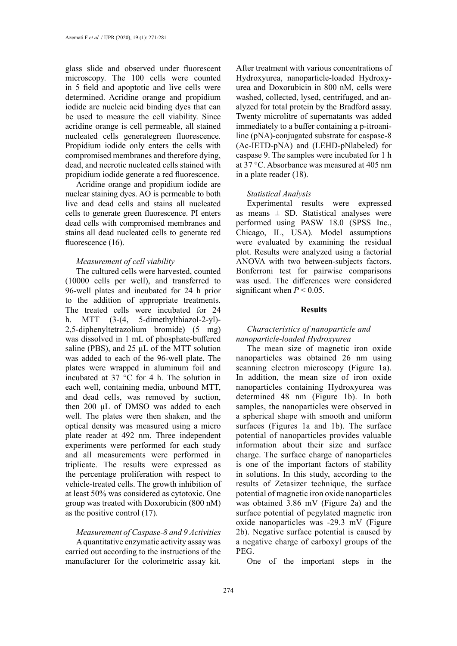glass slide and observed under fluorescent microscopy. The 100 cells were counted in 5 field and apoptotic and live cells were determined. Acridine orange and propidium iodide are nucleic acid binding dyes that can be used to measure the cell viability. Since acridine orange is cell permeable, all stained nucleated cells generategreen fluorescence. Propidium iodide only enters the cells with compromised membranes and therefore dying, dead, and necrotic nucleated cells stained with propidium iodide generate a red fluorescence.

Acridine orange and propidium iodide are nuclear staining dyes. AO is permeable to both live and dead cells and stains all nucleated cells to generate green fluorescence. PI enters dead cells with compromised membranes and stains all dead nucleated cells to generate red fluorescence (16).

#### *Measurement of cell viability*

The cultured cells were harvested, counted (10000 cells per well), and transferred to 96-well plates and incubated for 24 h prior to the addition of appropriate treatments. The treated cells were incubated for 24 h. MTT (3-(4, 5-dimethylthiazol-2-yl)- 2,5-diphenyltetrazolium bromide) (5 mg) was dissolved in 1 mL of phosphate-buffered saline (PBS), and 25 μL of the MTT solution was added to each of the 96-well plate. The plates were wrapped in aluminum foil and incubated at 37 °C for 4 h. The solution in each well, containing media, unbound MTT, and dead cells, was removed by suction, then 200 μL of DMSO was added to each well. The plates were then shaken, and the optical density was measured using a micro plate reader at 492 nm. Three independent experiments were performed for each study and all measurements were performed in triplicate. The results were expressed as the percentage proliferation with respect to vehicle-treated cells. The growth inhibition of at least 50% was considered as cytotoxic. One group was treated with Doxorubicin (800 nM) as the positive control (17).

# *Measurement of Caspase-8 and 9 Activities*

A quantitative enzymatic activity assay was carried out according to the instructions of the manufacturer for the colorimetric assay kit. After treatment with various concentrations of Hydroxyurea, nanoparticle-loaded Hydroxyurea and Doxorubicin in 800 nM, cells were washed, collected, lysed, centrifuged, and analyzed for total protein by the Bradford assay. Twenty microlitre of supernatants was added immediately to a buffer containing a p-itroaniline (pNA)-conjugated substrate for caspase-8 (Ac-IETD-pNA) and (LEHD-pNlabeled) for caspase 9. The samples were incubated for 1 h at 37 °C. Absorbance was measured at 405 nm in a plate reader (18).

## *Statistical Analysis*

Experimental results were expressed as means  $\pm$  SD. Statistical analyses were performed using PASW 18.0 (SPSS Inc., Chicago, IL, USA). Model assumptions were evaluated by examining the residual plot. Results were analyzed using a factorial ANOVA with two between-subjects factors. Bonferroni test for pairwise comparisons was used. The differences were considered significant when  $P < 0.05$ .

#### **Results**

# *Characteristics of nanoparticle and nanoparticle-loaded Hydroxyurea*

The mean size of magnetic iron oxide nanoparticles was obtained 26 nm using scanning electron microscopy (Figure 1a). In addition, the mean size of iron oxide nanoparticles containing Hydroxyurea was determined 48 nm (Figure 1b). In both samples, the nanoparticles were observed in a spherical shape with smooth and uniform surfaces (Figures 1a and 1b). The surface potential of nanoparticles provides valuable information about their size and surface charge. The surface charge of nanoparticles is one of the important factors of stability in solutions. In this study, according to the results of Zetasizer technique, the surface potential of magnetic iron oxide nanoparticles was obtained 3.86 mV (Figure 2a) and the surface potential of pegylated magnetic iron oxide nanoparticles was -29.3 mV (Figure 2b). Negative surface potential is caused by a negative charge of carboxyl groups of the PEG.

One of the important steps in the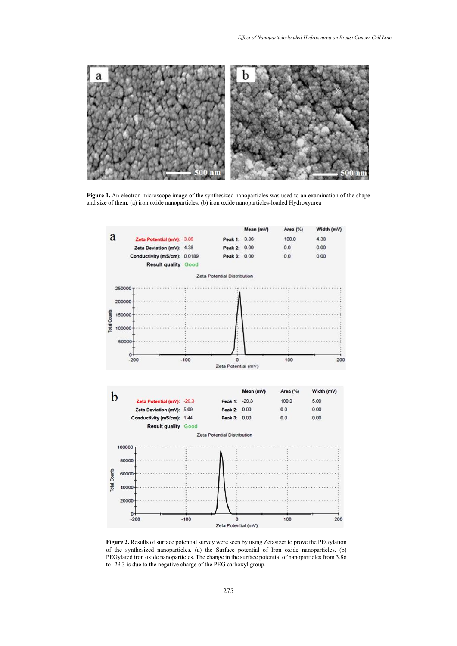

Figure 1. An electron microscope image of the synthesized nanoparticles was used to an examination of the shape and size of them. (a) iron oxide nanoparticles. (b) iron oxide nanoparticles-loaded Hydroxyurea



of the synthesized nanoparticles. (a) the Surface potential of Iron oxide nanoparticles. (b) PEGylated iron oxide nanoparticles. The change in the surface potential of nanoparticles from  $3.86$ charge of the PEG carboxyl group. to -29.3 is due to the negative charge of the PEG carboxyl group.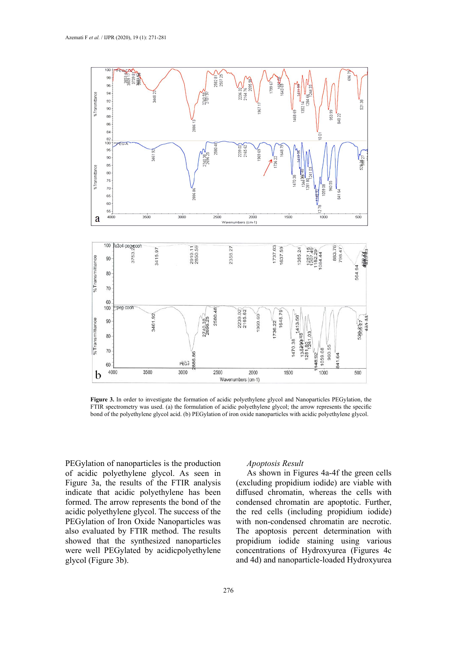

Figure 3. In order to investigate the formation of acidic polyethylene glycol and Nanoparticles PEGylation, the bond of the polyethylene glycol acid. (b) PEGylation of iron oxide nanoparticles with acidic polyethylene glycol. Figure 5. In order to investigate the formulation of acidic polyethylene glycol and Nanoparticles I Edylation, the FTIR spectrometry was used. (a) the formulation of acidic polyethylene glycol; the arrow represents the spe

PEGylation of nanoparticles is the production of acidic polyethylene glycol. As seen in Figure 3a, the results of the FTIR analysis indicate that acidic polyethylene has been formed. The arrow represents the bond of the acidic polyethylene glycol. The success of the PEGylation of Iron Oxide Nanoparticles was also evaluated by FTIR method. The results showed that the synthesized nanoparticles were well PEGylated by acidicpolyethylene glycol (Figure 3b).

#### *Apoptosis Result*

As shown in Figures 4a-4f the green cells (excluding propidium iodide) are viable with diffused chromatin, whereas the cells with condensed chromatin are apoptotic. Further, the red cells (including propidium iodide) with non-condensed chromatin are necrotic. The apoptosis percent determination with propidium iodide staining using various concentrations of Hydroxyurea (Figures 4c and 4d) and nanoparticle-loaded Hydroxyurea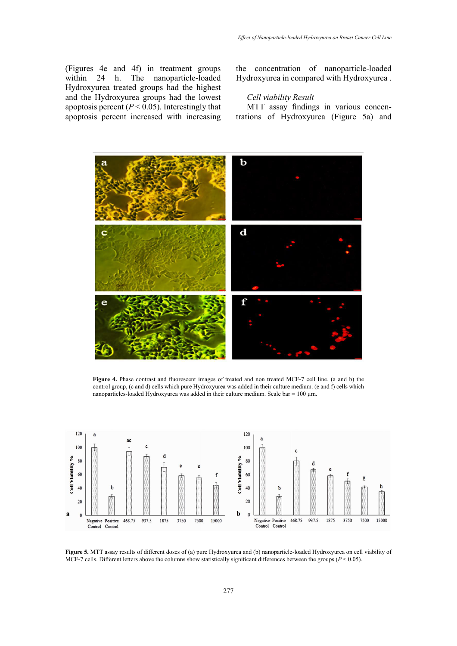(Figures 4e and 4f) in treatment groups<br>within 24 h. The nanoparticle-loaded h. The nanoparticle-loaded Hydroxyurea treated groups had the highest and the Hydroxyurea groups had the lowest apoptosis percent  $(P < 0.05)$ . Interestingly that apoptosis percent increased with increasing the concentration of nanoparticle-loaded Hydroxyurea in compared with Hydroxyurea .

# *Cell viability Result*

MTT assay findings in various concentrations of Hydroxyurea (Figure 5a) and



Figure 4. Phase contrast and fluorescent images of treated and non treated MCF-7 cell line. (a and b) the control group, (c and d) cells which pure Hydroxyurea was added in their culture medium. (e and f) cells which nanoparticles-loaded Hydroxyurea was added in their culture medium. Scale bar = 100 µm.



MCF-7 cells. Different letters above the columns show statistically significant differences between the groups  $(P < 0.05)$ . **Figure 5.** MTT assay results of different doses of (a) pure Hydroxyurea and (b) nanoparticle-loaded Hydroxyurea on cell viability of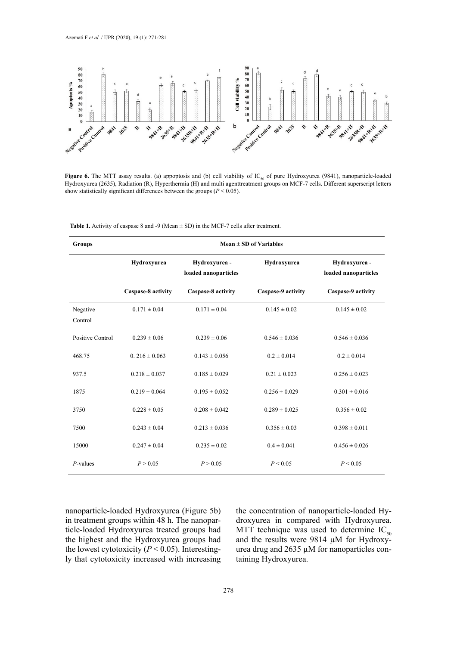

Figure 6. The MTT assay results. (a) appoptosis and (b) cell viability of IC<sub>50</sub> of pure Hydroxyurea (9841), nanoparticle-loaded Hydroxyurea (2635), Radiation (R), Hyperthermia (H) and multi agenttreatment groups on MCF-7 cells. Different superscript letters show statistically significant differences between the groups ( $P < 0.05$ ) show statistically significant differences between the groups (*P* < 0.05).

| <b>Groups</b>       | Mean $\pm$ SD of Variables |                                       |                    |                                       |
|---------------------|----------------------------|---------------------------------------|--------------------|---------------------------------------|
|                     | Hydroxyurea                | Hydroxyurea -<br>loaded nanoparticles | Hydroxyurea        | Hydroxyurea -<br>loaded nanoparticles |
|                     | Caspase-8 activity         | Caspase-8 activity                    | Caspase-9 activity | Caspase-9 activity                    |
| Negative<br>Control | $0.171 \pm 0.04$           | $0.171 \pm 0.04$                      | $0.145 \pm 0.02$   | $0.145 \pm 0.02$                      |
| Positive Control    | $0.239 \pm 0.06$           | $0.239 \pm 0.06$                      | $0.546 \pm 0.036$  | $0.546 \pm 0.036$                     |
| 468.75              | $0.216 \pm 0.063$          | $0.143 \pm 0.056$                     | $0.2 \pm 0.014$    | $0.2 \pm 0.014$                       |
| 937.5               | $0.218 \pm 0.037$          | $0.185 \pm 0.029$                     | $0.21 \pm 0.023$   | $0.256 \pm 0.023$                     |
| 1875                | $0.219 \pm 0.064$          | $0.195 \pm 0.052$                     | $0.256 \pm 0.029$  | $0.301 \pm 0.016$                     |
| 3750                | $0.228 \pm 0.05$           | $0.208 \pm 0.042$                     | $0.289 \pm 0.025$  | $0.356 \pm 0.02$                      |
| 7500                | $0.243 \pm 0.04$           | $0.213 \pm 0.036$                     | $0.356 \pm 0.03$   | $0.398 \pm 0.011$                     |
| 15000               | $0.247 \pm 0.04$           | $0.235 \pm 0.02$                      | $0.4 \pm 0.041$    | $0.456 \pm 0.026$                     |
| $P$ -values         | P > 0.05                   | P > 0.05                              | P < 0.05           | P < 0.05                              |

**Table 1.** Activity of caspase 8 and -9 (Mean ± SD) in the MCF-7 cells after treatment. **Table 1.** Activity of caspase 8 and -9 (Mean ± SD) in the MCF-7 cells after treatment.

nanoparticle-loaded Hydroxyurea (Figure 5b) in treatment groups within 48 h. The nanoparticle-loaded Hydroxyurea treated groups had the highest and the Hydroxyurea groups had the lowest cytotoxicity ( $P < 0.05$ ). Interestingly that cytotoxicity increased with increasing the concentration of nanoparticle-loaded Hydroxyurea in compared with Hydroxyurea. MTT technique was used to determine  $IC_{50}$ and the results were 9814  $\mu$ M for Hydroxyurea drug and 2635 µM for nanoparticles containing Hydroxyurea.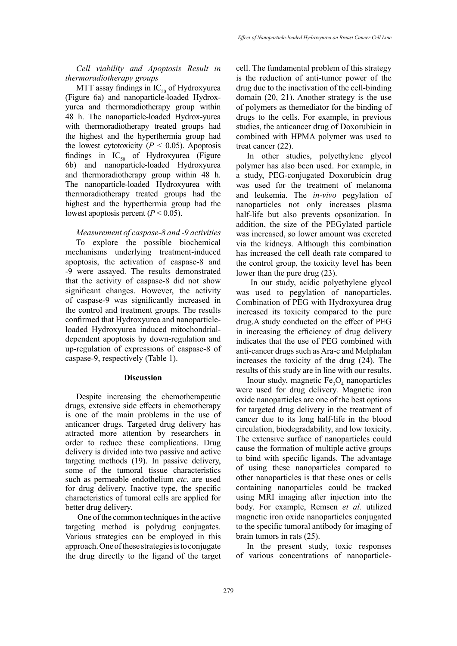*Cell viability and Apoptosis Result in thermoradiotherapy groups*

MTT assay findings in  $IC_{50}$  of Hydroxyurea (Figure 6a) and nanoparticle-loaded Hydroxyurea and thermoradiotherapy group within 48 h. The nanoparticle-loaded Hydrox-yurea with thermoradiotherapy treated groups had the highest and the hyperthermia group had the lowest cytotoxicity ( $P < 0.05$ ). Apoptosis findings in  $IC_{50}$  of Hydroxyurea (Figure 6b) and nanoparticle-loaded Hydroxyurea and thermoradiotherapy group within 48 h. The nanoparticle-loaded Hydroxyurea with thermoradiotherapy treated groups had the highest and the hyperthermia group had the lowest apoptosis percent  $(P < 0.05)$ .

*Measurement of caspase-8 and -9 activities*

To explore the possible biochemical mechanisms underlying treatment-induced apoptosis, the activation of caspase-8 and -9 were assayed. The results demonstrated that the activity of caspase-8 did not show significant changes. However, the activity of caspase-9 was significantly increased in the control and treatment groups. The results confirmed that Hydroxyurea and nanoparticleloaded Hydroxyurea induced mitochondrialdependent apoptosis by down-regulation and up-regulation of expressions of caspase-8 of caspase-9, respectively (Table 1).

#### **Discussion**

Despite increasing the chemotherapeutic drugs, extensive side effects in chemotherapy is one of the main problems in the use of anticancer drugs. Targeted drug delivery has attracted more attention by researchers in order to reduce these complications. Drug delivery is divided into two passive and active targeting methods (19). In passive delivery, some of the tumoral tissue characteristics such as permeable endothelium *etc.* are used for drug delivery. Inactive type, the specific characteristics of tumoral cells are applied for better drug delivery.

 One of the common techniques in the active targeting method is polydrug conjugates. Various strategies can be employed in this approach. One of these strategies is to conjugate the drug directly to the ligand of the target cell. The fundamental problem of this strategy is the reduction of anti-tumor power of the drug due to the inactivation of the cell-binding domain (20, 21). Another strategy is the use of polymers as themediator for the binding of drugs to the cells. For example, in previous studies, the anticancer drug of Doxorubicin in combined with HPMA polymer was used to treat cancer (22).

In other studies, polyethylene glycol polymer has also been used. For example, in a study, PEG-conjugated Doxorubicin drug was used for the treatment of melanoma and leukemia. The *in-vivo* [pegylation](https://www.google.com/search?q=PEGylation&spell=1&sa=X&ved=0ahUKEwjTyraelrPSAhWlFJoKHXZCA3wQBQgYKAA) of nanoparticles not only increases plasma half-life but also prevents opsonization. In addition, the size of the PEGylated particle was increased, so lower amount was excreted via the kidneys. Although this combination has increased the cell death rate compared to the control group, the toxicity level has been lower than the pure drug (23).

 In our study, acidic polyethylene glycol was used to pegylation of nanoparticles. Combination of PEG with Hydroxyurea drug increased its toxicity compared to the pure drug.A study conducted on the effect of PEG in increasing the efficiency of drug delivery indicates that the use of PEG combined with anti-cancer drugs such as Ara-c and Melphalan increases the toxicity of the drug (24). The results of this study are in line with our results.

Inour study, magnetic  $Fe<sub>3</sub>O<sub>4</sub>$  nanoparticles were used for drug delivery. Magnetic iron oxide nanoparticles are one of the best options for targeted drug delivery in the treatment of cancer due to its long half-life in the blood circulation, biodegradability, and low toxicity. The extensive surface of nanoparticles could cause the formation of multiple active groups to bind with specific ligands. The advantage of using these nanoparticles compared to other nanoparticles is that these ones or cells containing nanoparticles could be tracked using MRI imaging after injection into the body. For example, Remsen *et al.* utilized magnetic iron oxide nanoparticles conjugated to the specific tumoral antibody for imaging of brain tumors in rats (25).

In the present study, toxic responses of various concentrations of nanoparticle-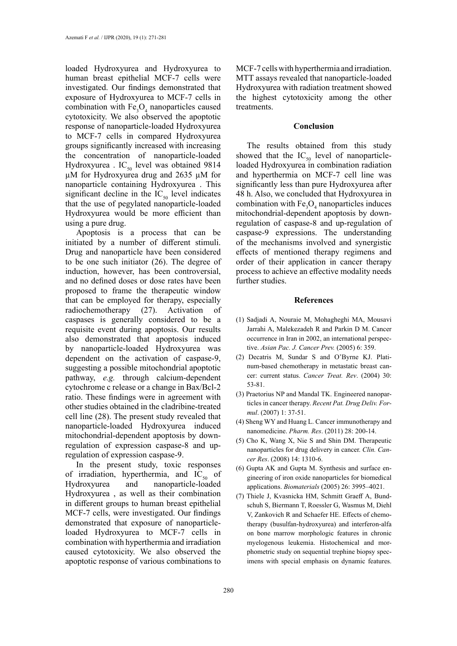loaded Hydroxyurea and Hydroxyurea to human breast epithelial MCF-7 cells were investigated. Our findings demonstrated that exposure of Hydroxyurea to MCF-7 cells in combination with  $Fe<sub>3</sub>O<sub>4</sub>$  nanoparticles caused cytotoxicity. We also observed the apoptotic response of nanoparticle-loaded Hydroxyurea to MCF-7 cells in compared Hydroxyurea groups significantly increased with increasing the concentration of nanoparticle-loaded Hydroxyurea . IC<sub>50</sub> level was obtained 9814 µM for Hydroxyurea drug and 2635 µM for nanoparticle containing Hydroxyurea . This significant decline in the  $IC_{50}$  level indicates that the use of pegylated nanoparticle-loaded Hydroxyurea would be more efficient than using a pure drug.

Apoptosis is a process that can be initiated by a number of different stimuli. Drug and nanoparticle have been considered to be one such initiator (26). The degree of induction, however, has been controversial, and no defined doses or dose rates have been proposed to frame the therapeutic window that can be employed for therapy, especially radiochemotherapy (27). Activation of caspases is generally considered to be a requisite event during apoptosis. Our results also demonstrated that apoptosis induced by nanoparticle-loaded Hydroxyurea was dependent on the activation of caspase-9, suggesting a possible mitochondrial apoptotic pathway, *e.g.* through calcium-dependent cytochrome c release or a change in Bax/Bcl-2 ratio. These findings were in agreement with other studies obtained in the cladribine-treated cell line (28). The present study revealed that nanoparticle-loaded Hydroxyurea induced mitochondrial-dependent apoptosis by downregulation of expression caspase-8 and upregulation of expression caspase-9.

In the present study, toxic responses of irradiation, hyperthermia, and  $IC_{50}$  of Hydroxyurea and nanoparticle-loaded nanoparticle-loaded Hydroxyurea , as well as their combination in different groups to human breast epithelial MCF-7 cells, were investigated. Our findings demonstrated that exposure of nanoparticleloaded Hydroxyurea to MCF-7 cells in combination with hyperthermia and irradiation caused cytotoxicity. We also observed the apoptotic response of various combinations to

MCF-7 cells with hyperthermia and irradiation. MTT assays revealed that nanoparticle-loaded Hydroxyurea with radiation treatment showed the highest cytotoxicity among the other treatments.

#### **Conclusion**

The results obtained from this study showed that the  $IC_{50}$  level of nanoparticleloaded Hydroxyurea in combination radiation and hyperthermia on MCF-7 cell line was significantly less than pure Hydroxyurea after 48 h. Also, we concluded that Hydroxyurea in combination with  $Fe<sub>3</sub>O<sub>4</sub>$  nanoparticles induces mitochondrial-dependent apoptosis by downregulation of caspase-8 and up-regulation of caspase-9 expressions. The understanding of the mechanisms involved and synergistic effects of mentioned therapy regimens and order of their application in cancer therapy process to achieve an effective modality needs further studies.

#### **References**

- (1) Sadjadi A, Nouraie M, Mohagheghi MA, Mousavi Jarrahi A, Malekezadeh R and Parkin D M. Cancer occurrence in Iran in 2002, an international perspective. *Asian Pac. J. Cancer Prev.* (2005) 6: 359.
- (2) Decatris M, Sundar S and O'Byrne KJ. Platinum-based chemotherapy in metastatic breast cancer: current status. *Cancer Treat. Rev*. (2004) 30: 53-81.
- (3) Praetorius NP and Mandal TK. Engineered nanoparticles in cancer therapy. *Recent Pat. Drug Deliv. Formul*. (2007) 1: 37-51.
- (4) Sheng WY and Huang L. Cancer immunotherapy and nanomedicine. *Pharm. Res*. (2011) 28: 200-14.
- (5) Cho K, Wang X, Nie S and Shin DM. Therapeutic nanoparticles for drug delivery in cancer. *Clin. Cancer Res*. (2008) 14: 1310-6.
- (6) Gupta AK and Gupta M. Synthesis and surface engineering of iron oxide nanoparticles for biomedical applications. *Biomaterials* (2005) 26: 3995–4021.
- (7) Thiele J, Kvasnicka HM, Schmitt Graeff A, Bundschuh S, Biermann T, Roessler G, Wasmus M, Diehl V, Zankovich R and Schaefer HE. Effects of chemotherapy (busulfan-hydroxyurea) and interferon-alfa on bone marrow morphologic features in chronic myelogenous leukemia. Histochemical and morphometric study on sequential trephine biopsy specimens with special emphasis on dynamic features.